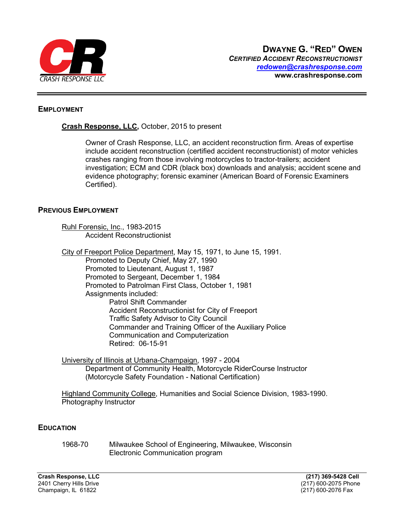

### EMPLOYMENT

## Crash Response, LLC, October, 2015 to present

Owner of Crash Response, LLC, an accident reconstruction firm. Areas of expertise include accident reconstruction (certified accident reconstructionist) of motor vehicles crashes ranging from those involving motorcycles to tractor-trailers; accident investigation; ECM and CDR (black box) downloads and analysis; accident scene and evidence photography; forensic examiner (American Board of Forensic Examiners Certified).

### PREVIOUS EMPLOYMENT

 Ruhl Forensic, Inc., 1983-2015 Accident Reconstructionist

City of Freeport Police Department, May 15, 1971, to June 15, 1991.

 Promoted to Deputy Chief, May 27, 1990 Promoted to Lieutenant, August 1, 1987 Promoted to Sergeant, December 1, 1984 Promoted to Patrolman First Class, October 1, 1981 Assignments included: Patrol Shift Commander Accident Reconstructionist for City of Freeport Traffic Safety Advisor to City Council Commander and Training Officer of the Auxiliary Police Communication and Computerization Retired: 06-15-91

 University of Illinois at Urbana-Champaign, 1997 - 2004 Department of Community Health, Motorcycle RiderCourse Instructor (Motorcycle Safety Foundation - National Certification)

 Highland Community College, Humanities and Social Science Division, 1983-1990. Photography Instructor

## **EDUCATION**

 1968-70 Milwaukee School of Engineering, Milwaukee, Wisconsin Electronic Communication program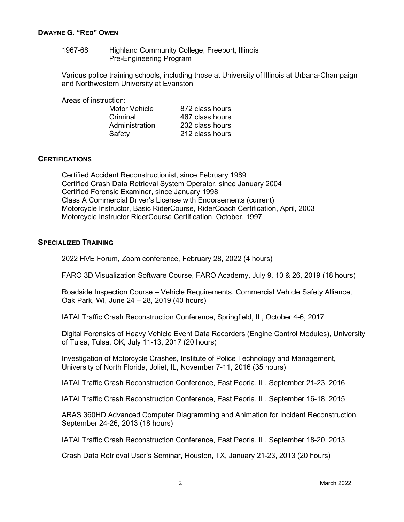#### 1967-68 Highland Community College, Freeport, Illinois Pre-Engineering Program

Various police training schools, including those at University of Illinois at Urbana-Champaign and Northwestern University at Evanston

Areas of instruction:

| Motor Vehicle  | 872 class hours |
|----------------|-----------------|
| Criminal       | 467 class hours |
| Administration | 232 class hours |
| Safety         | 212 class hours |

### **CERTIFICATIONS**

Certified Accident Reconstructionist, since February 1989 Certified Crash Data Retrieval System Operator, since January 2004 Certified Forensic Examiner, since January 1998 Class A Commercial Driver's License with Endorsements (current) Motorcycle Instructor, Basic RiderCourse, RiderCoach Certification, April, 2003 Motorcycle Instructor RiderCourse Certification, October, 1997

### SPECIALIZED TRAINING

2022 HVE Forum, Zoom conference, February 28, 2022 (4 hours)

FARO 3D Visualization Software Course, FARO Academy, July 9, 10 & 26, 2019 (18 hours)

Roadside Inspection Course – Vehicle Requirements, Commercial Vehicle Safety Alliance, Oak Park, WI, June 24 – 28, 2019 (40 hours)

IATAI Traffic Crash Reconstruction Conference, Springfield, IL, October 4-6, 2017

Digital Forensics of Heavy Vehicle Event Data Recorders (Engine Control Modules), University of Tulsa, Tulsa, OK, July 11-13, 2017 (20 hours)

Investigation of Motorcycle Crashes, Institute of Police Technology and Management, University of North Florida, Joliet, IL, November 7-11, 2016 (35 hours)

IATAI Traffic Crash Reconstruction Conference, East Peoria, IL, September 21-23, 2016

IATAI Traffic Crash Reconstruction Conference, East Peoria, IL, September 16-18, 2015

ARAS 360HD Advanced Computer Diagramming and Animation for Incident Reconstruction, September 24-26, 2013 (18 hours)

IATAI Traffic Crash Reconstruction Conference, East Peoria, IL, September 18-20, 2013

Crash Data Retrieval User's Seminar, Houston, TX, January 21-23, 2013 (20 hours)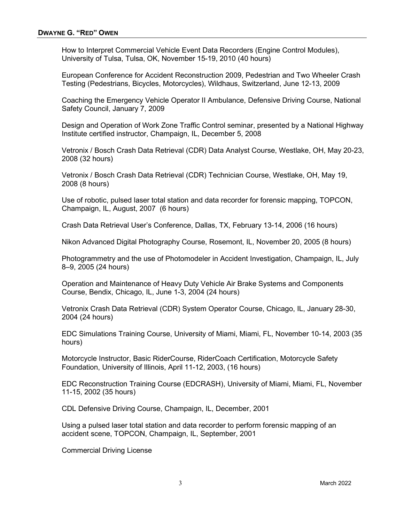How to Interpret Commercial Vehicle Event Data Recorders (Engine Control Modules), University of Tulsa, Tulsa, OK, November 15-19, 2010 (40 hours)

European Conference for Accident Reconstruction 2009, Pedestrian and Two Wheeler Crash Testing (Pedestrians, Bicycles, Motorcycles), Wildhaus, Switzerland, June 12-13, 2009

Coaching the Emergency Vehicle Operator II Ambulance, Defensive Driving Course, National Safety Council, January 7, 2009

Design and Operation of Work Zone Traffic Control seminar, presented by a National Highway Institute certified instructor, Champaign, IL, December 5, 2008

Vetronix / Bosch Crash Data Retrieval (CDR) Data Analyst Course, Westlake, OH, May 20-23, 2008 (32 hours)

Vetronix / Bosch Crash Data Retrieval (CDR) Technician Course, Westlake, OH, May 19, 2008 (8 hours)

Use of robotic, pulsed laser total station and data recorder for forensic mapping, TOPCON, Champaign, IL, August, 2007 (6 hours)

Crash Data Retrieval User's Conference, Dallas, TX, February 13-14, 2006 (16 hours)

Nikon Advanced Digital Photography Course, Rosemont, IL, November 20, 2005 (8 hours)

Photogrammetry and the use of Photomodeler in Accident Investigation, Champaign, IL, July 8–9, 2005 (24 hours)

Operation and Maintenance of Heavy Duty Vehicle Air Brake Systems and Components Course, Bendix, Chicago, IL, June 1-3, 2004 (24 hours)

Vetronix Crash Data Retrieval (CDR) System Operator Course, Chicago, IL, January 28-30, 2004 (24 hours)

EDC Simulations Training Course, University of Miami, Miami, FL, November 10-14, 2003 (35 hours)

Motorcycle Instructor, Basic RiderCourse, RiderCoach Certification, Motorcycle Safety Foundation, University of Illinois, April 11-12, 2003, (16 hours)

EDC Reconstruction Training Course (EDCRASH), University of Miami, Miami, FL, November 11-15, 2002 (35 hours)

CDL Defensive Driving Course, Champaign, IL, December, 2001

Using a pulsed laser total station and data recorder to perform forensic mapping of an accident scene, TOPCON, Champaign, IL, September, 2001

Commercial Driving License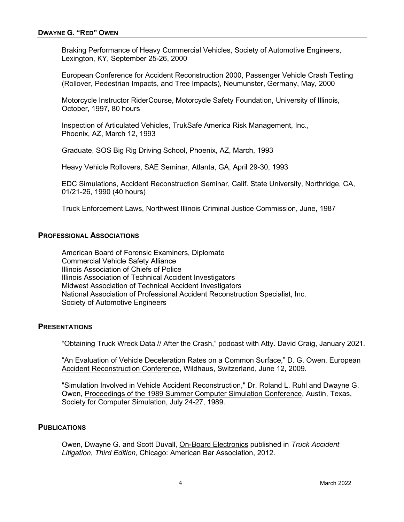Braking Performance of Heavy Commercial Vehicles, Society of Automotive Engineers, Lexington, KY, September 25-26, 2000

European Conference for Accident Reconstruction 2000, Passenger Vehicle Crash Testing (Rollover, Pedestrian Impacts, and Tree Impacts), Neumunster, Germany, May, 2000

Motorcycle Instructor RiderCourse, Motorcycle Safety Foundation, University of Illinois, October, 1997, 80 hours

 Inspection of Articulated Vehicles, TrukSafe America Risk Management, Inc., Phoenix, AZ, March 12, 1993

Graduate, SOS Big Rig Driving School, Phoenix, AZ, March, 1993

Heavy Vehicle Rollovers, SAE Seminar, Atlanta, GA, April 29-30, 1993

EDC Simulations, Accident Reconstruction Seminar, Calif. State University, Northridge, CA, 01/21-26, 1990 (40 hours)

Truck Enforcement Laws, Northwest Illinois Criminal Justice Commission, June, 1987

#### PROFESSIONAL ASSOCIATIONS

 American Board of Forensic Examiners, Diplomate Commercial Vehicle Safety Alliance Illinois Association of Chiefs of Police Illinois Association of Technical Accident Investigators Midwest Association of Technical Accident Investigators National Association of Professional Accident Reconstruction Specialist, Inc. Society of Automotive Engineers

#### **PRESENTATIONS**

"Obtaining Truck Wreck Data // After the Crash," podcast with Atty. David Craig, January 2021.

"An Evaluation of Vehicle Deceleration Rates on a Common Surface," D. G. Owen, European Accident Reconstruction Conference, Wildhaus, Switzerland, June 12, 2009.

"Simulation Involved in Vehicle Accident Reconstruction," Dr. Roland L. Ruhl and Dwayne G. Owen, Proceedings of the 1989 Summer Computer Simulation Conference, Austin, Texas, Society for Computer Simulation, July 24-27, 1989.

#### **PUBLICATIONS**

Owen, Dwayne G. and Scott Duvall, On-Board Electronics published in Truck Accident Litigation, Third Edition, Chicago: American Bar Association, 2012.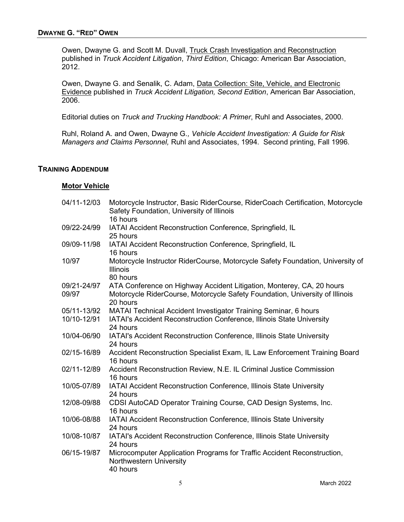Owen, Dwayne G. and Scott M. Duvall, Truck Crash Investigation and Reconstruction published in Truck Accident Litigation, Third Edition, Chicago: American Bar Association, 2012.

Owen, Dwayne G. and Senalik, C. Adam, Data Collection: Site, Vehicle, and Electronic Evidence published in Truck Accident Litigation, Second Edition, American Bar Association, 2006.

Editorial duties on Truck and Trucking Handbook: A Primer, Ruhl and Associates, 2000.

Ruhl, Roland A. and Owen, Dwayne G., Vehicle Accident Investigation: A Guide for Risk Managers and Claims Personnel, Ruhl and Associates, 1994. Second printing, Fall 1996.

#### TRAINING ADDENDUM

#### Motor Vehicle

| 04/11-12/03          | Motorcycle Instructor, Basic RiderCourse, RiderCoach Certification, Motorcycle<br>Safety Foundation, University of Illinois<br>16 hours                           |
|----------------------|-------------------------------------------------------------------------------------------------------------------------------------------------------------------|
| 09/22-24/99          | IATAI Accident Reconstruction Conference, Springfield, IL<br>25 hours                                                                                             |
| 09/09-11/98          | IATAI Accident Reconstruction Conference, Springfield, IL<br>16 hours                                                                                             |
| 10/97                | Motorcycle Instructor RiderCourse, Motorcycle Safety Foundation, University of<br><b>Illinois</b><br>80 hours                                                     |
| 09/21-24/97<br>09/97 | ATA Conference on Highway Accident Litigation, Monterey, CA, 20 hours<br>Motorcycle RiderCourse, Motorcycle Safety Foundation, University of Illinois<br>20 hours |
| 05/11-13/92          | MATAI Technical Accident Investigator Training Seminar, 6 hours                                                                                                   |
| 10/10-12/91          | IATAI's Accident Reconstruction Conference, Illinois State University<br>24 hours                                                                                 |
| 10/04-06/90          | IATAI's Accident Reconstruction Conference, Illinois State University<br>24 hours                                                                                 |
| 02/15-16/89          | Accident Reconstruction Specialist Exam, IL Law Enforcement Training Board<br>16 hours                                                                            |
| 02/11-12/89          | Accident Reconstruction Review, N.E. IL Criminal Justice Commission<br>16 hours                                                                                   |
| 10/05-07/89          | IATAI Accident Reconstruction Conference, Illinois State University<br>24 hours                                                                                   |
| 12/08-09/88          | CDSI AutoCAD Operator Training Course, CAD Design Systems, Inc.<br>16 hours                                                                                       |
| 10/06-08/88          | IATAI Accident Reconstruction Conference, Illinois State University<br>24 hours                                                                                   |
| 10/08-10/87          | IATAI's Accident Reconstruction Conference, Illinois State University<br>24 hours                                                                                 |
| 06/15-19/87          | Microcomputer Application Programs for Traffic Accident Reconstruction,<br>Northwestern University<br>40 hours                                                    |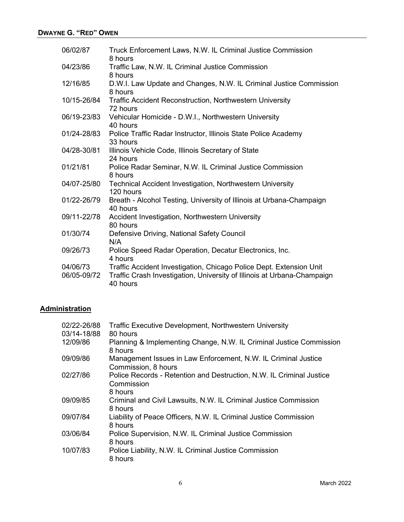| 06/02/87                | Truck Enforcement Laws, N.W. IL Criminal Justice Commission<br>8 hours                                                                                     |
|-------------------------|------------------------------------------------------------------------------------------------------------------------------------------------------------|
| 04/23/86                | Traffic Law, N.W. IL Criminal Justice Commission<br>8 hours                                                                                                |
| 12/16/85                | D.W.I. Law Update and Changes, N.W. IL Criminal Justice Commission<br>8 hours                                                                              |
| 10/15-26/84             | <b>Traffic Accident Reconstruction, Northwestern University</b><br>72 hours                                                                                |
| 06/19-23/83             | Vehicular Homicide - D.W.I., Northwestern University<br>40 hours                                                                                           |
| 01/24-28/83             | Police Traffic Radar Instructor, Illinois State Police Academy<br>33 hours                                                                                 |
| 04/28-30/81             | Illinois Vehicle Code, Illinois Secretary of State<br>24 hours                                                                                             |
| 01/21/81                | Police Radar Seminar, N.W. IL Criminal Justice Commission<br>8 hours                                                                                       |
| 04/07-25/80             | Technical Accident Investigation, Northwestern University<br>120 hours                                                                                     |
| 01/22-26/79             | Breath - Alcohol Testing, University of Illinois at Urbana-Champaign<br>40 hours                                                                           |
| 09/11-22/78             | Accident Investigation, Northwestern University<br>80 hours                                                                                                |
| 01/30/74                | Defensive Driving, National Safety Council<br>N/A                                                                                                          |
| 09/26/73                | Police Speed Radar Operation, Decatur Electronics, Inc.<br>4 hours                                                                                         |
| 04/06/73<br>06/05-09/72 | Traffic Accident Investigation, Chicago Police Dept. Extension Unit<br>Traffic Crash Investigation, University of Illinois at Urbana-Champaign<br>40 hours |

## **Administration**

| 02/22-26/88<br>03/14-18/88 | <b>Traffic Executive Development, Northwestern University</b><br>80 hours                     |
|----------------------------|-----------------------------------------------------------------------------------------------|
| 12/09/86                   | Planning & Implementing Change, N.W. IL Criminal Justice Commission<br>8 hours                |
| 09/09/86                   | Management Issues in Law Enforcement, N.W. IL Criminal Justice<br>Commission, 8 hours         |
| 02/27/86                   | Police Records - Retention and Destruction, N.W. IL Criminal Justice<br>Commission<br>8 hours |
| 09/09/85                   | Criminal and Civil Lawsuits, N.W. IL Criminal Justice Commission<br>8 hours                   |
| 09/07/84                   | Liability of Peace Officers, N.W. IL Criminal Justice Commission<br>8 hours                   |
| 03/06/84                   | Police Supervision, N.W. IL Criminal Justice Commission<br>8 hours                            |
| 10/07/83                   | Police Liability, N.W. IL Criminal Justice Commission<br>8 hours                              |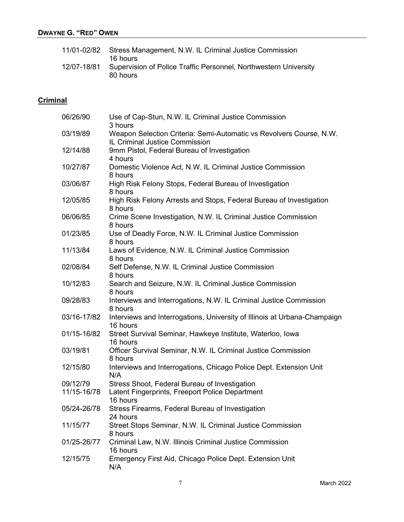# DWAYNE G. "RED" OWEN

| 11/01-02/82 | Stress Management, N.W. IL Criminal Justice Commission<br>16 hours           |
|-------------|------------------------------------------------------------------------------|
| 12/07-18/81 | Supervision of Police Traffic Personnel, Northwestern University<br>80 hours |

# **Criminal**

| 06/26/90    | Use of Cap-Stun, N.W. IL Criminal Justice Commission<br>3 hours                                       |
|-------------|-------------------------------------------------------------------------------------------------------|
| 03/19/89    | Weapon Selection Criteria: Semi-Automatic vs Revolvers Course, N.W.<br>IL Criminal Justice Commission |
| 12/14/88    | 9mm Pistol, Federal Bureau of Investigation                                                           |
| 10/27/87    | 4 hours<br>Domestic Violence Act, N.W. IL Criminal Justice Commission<br>8 hours                      |
| 03/06/87    | High Risk Felony Stops, Federal Bureau of Investigation<br>8 hours                                    |
| 12/05/85    | High Risk Felony Arrests and Stops, Federal Bureau of Investigation<br>8 hours                        |
| 06/06/85    | Crime Scene Investigation, N.W. IL Criminal Justice Commission<br>8 hours                             |
| 01/23/85    | Use of Deadly Force, N.W. IL Criminal Justice Commission<br>8 hours                                   |
| 11/13/84    | Laws of Evidence, N.W. IL Criminal Justice Commission<br>8 hours                                      |
| 02/08/84    | Self Defense, N.W. IL Criminal Justice Commission<br>8 hours                                          |
| 10/12/83    | Search and Seizure, N.W. IL Criminal Justice Commission<br>8 hours                                    |
| 09/28/83    | Interviews and Interrogations, N.W. IL Criminal Justice Commission<br>8 hours                         |
| 03/16-17/82 | Interviews and Interrogations, University of Illinois at Urbana-Champaign<br>16 hours                 |
| 01/15-16/82 | Street Survival Seminar, Hawkeye Institute, Waterloo, Iowa<br>16 hours                                |
| 03/19/81    | Officer Survival Seminar, N.W. IL Criminal Justice Commission<br>8 hours                              |
| 12/15/80    | Interviews and Interrogations, Chicago Police Dept. Extension Unit<br>N/A                             |
| 09/12/79    | Stress Shoot, Federal Bureau of Investigation                                                         |
| 11/15-16/78 | Latent Fingerprints, Freeport Police Department<br>16 hours                                           |
| 05/24-26/78 | Stress Firearms, Federal Bureau of Investigation<br>24 hours                                          |
| 11/15/77    | Street Stops Seminar, N.W. IL Criminal Justice Commission<br>8 hours                                  |
| 01/25-26/77 | Criminal Law, N.W. Illinois Criminal Justice Commission<br>16 hours                                   |
| 12/15/75    | Emergency First Aid, Chicago Police Dept. Extension Unit<br>N/A                                       |